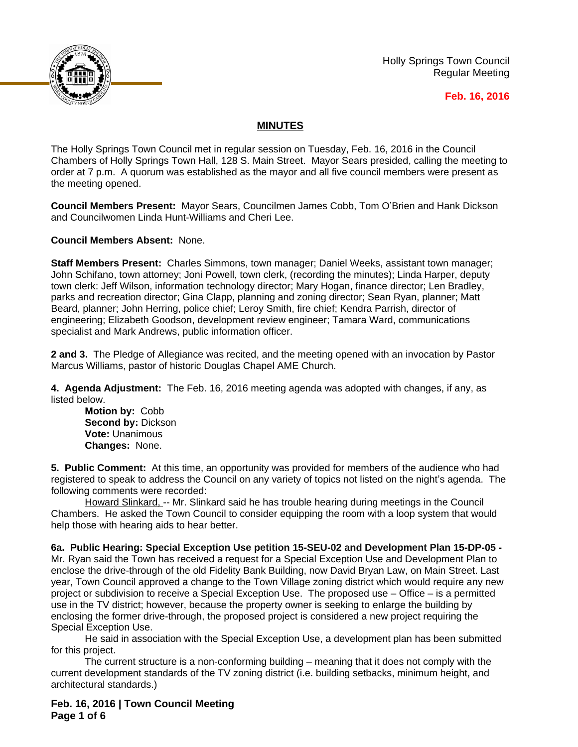

Holly Springs Town Council Regular Meeting

# **Feb. 16, 2016**

# **MINUTES**

The Holly Springs Town Council met in regular session on Tuesday, Feb. 16, 2016 in the Council Chambers of Holly Springs Town Hall, 128 S. Main Street. Mayor Sears presided, calling the meeting to order at 7 p.m. A quorum was established as the mayor and all five council members were present as the meeting opened.

**Council Members Present:** Mayor Sears, Councilmen James Cobb, Tom O'Brien and Hank Dickson and Councilwomen Linda Hunt-Williams and Cheri Lee.

**Council Members Absent:** None.

**Staff Members Present:** Charles Simmons, town manager; Daniel Weeks, assistant town manager; John Schifano, town attorney; Joni Powell, town clerk, (recording the minutes); Linda Harper, deputy town clerk: Jeff Wilson, information technology director; Mary Hogan, finance director; Len Bradley, parks and recreation director; Gina Clapp, planning and zoning director; Sean Ryan, planner; Matt Beard, planner; John Herring, police chief; Leroy Smith, fire chief; Kendra Parrish, director of engineering; Elizabeth Goodson, development review engineer; Tamara Ward, communications specialist and Mark Andrews, public information officer.

**2 and 3.** The Pledge of Allegiance was recited, and the meeting opened with an invocation by Pastor Marcus Williams, pastor of historic Douglas Chapel AME Church.

**4. Agenda Adjustment:** The Feb. 16, 2016 meeting agenda was adopted with changes, if any, as listed below.

**Motion by:** Cobb **Second by:** Dickson **Vote:** Unanimous **Changes:** None.

**5. Public Comment:** At this time, an opportunity was provided for members of the audience who had registered to speak to address the Council on any variety of topics not listed on the night's agenda. The following comments were recorded:

Howard Slinkard, -- Mr. Slinkard said he has trouble hearing during meetings in the Council Chambers. He asked the Town Council to consider equipping the room with a loop system that would help those with hearing aids to hear better.

**6a. Public Hearing: Special Exception Use petition 15-SEU-02 and Development Plan 15-DP-05 -**  Mr. Ryan said the Town has received a request for a Special Exception Use and Development Plan to enclose the drive-through of the old Fidelity Bank Building, now David Bryan Law, on Main Street. Last year, Town Council approved a change to the Town Village zoning district which would require any new project or subdivision to receive a Special Exception Use. The proposed use – Office – is a permitted use in the TV district; however, because the property owner is seeking to enlarge the building by enclosing the former drive-through, the proposed project is considered a new project requiring the Special Exception Use.

He said in association with the Special Exception Use, a development plan has been submitted for this project.

The current structure is a non-conforming building – meaning that it does not comply with the current development standards of the TV zoning district (i.e. building setbacks, minimum height, and architectural standards.)

**Feb. 16, 2016 | Town Council Meeting Page 1 of 6**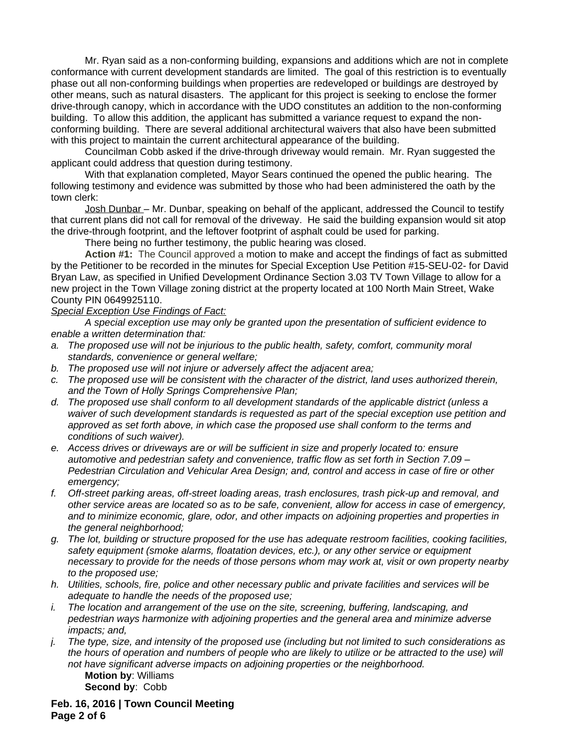Mr. Ryan said as a non-conforming building, expansions and additions which are not in complete conformance with current development standards are limited. The goal of this restriction is to eventually phase out all non-conforming buildings when properties are redeveloped or buildings are destroyed by other means, such as natural disasters. The applicant for this project is seeking to enclose the former drive-through canopy, which in accordance with the UDO constitutes an addition to the non-conforming building. To allow this addition, the applicant has submitted a variance request to expand the nonconforming building. There are several additional architectural waivers that also have been submitted with this project to maintain the current architectural appearance of the building.

Councilman Cobb asked if the drive-through driveway would remain. Mr. Ryan suggested the applicant could address that question during testimony.

With that explanation completed, Mayor Sears continued the opened the public hearing. The following testimony and evidence was submitted by those who had been administered the oath by the town clerk:

Josh Dunbar – Mr. Dunbar, speaking on behalf of the applicant, addressed the Council to testify that current plans did not call for removal of the driveway. He said the building expansion would sit atop the drive-through footprint, and the leftover footprint of asphalt could be used for parking.

There being no further testimony, the public hearing was closed.

**Action #1:** The Council approved a motion to make and accept the findings of fact as submitted by the Petitioner to be recorded in the minutes for Special Exception Use Petition #15-SEU-02- for David Bryan Law, as specified in Unified Development Ordinance Section 3.03 TV Town Village to allow for a new project in the Town Village zoning district at the property located at 100 North Main Street, Wake County PIN 0649925110.

### *Special Exception Use Findings of Fact:*

*A special exception use may only be granted upon the presentation of sufficient evidence to enable a written determination that:*

- *a. The proposed use will not be injurious to the public health, safety, comfort, community moral standards, convenience or general welfare;*
- *b. The proposed use will not injure or adversely affect the adjacent area;*
- *c. The proposed use will be consistent with the character of the district, land uses authorized therein, and the Town of Holly Springs Comprehensive Plan;*
- *d. The proposed use shall conform to all development standards of the applicable district (unless a waiver of such development standards is requested as part of the special exception use petition and approved as set forth above, in which case the proposed use shall conform to the terms and conditions of such waiver).*
- *e. Access drives or driveways are or will be sufficient in size and properly located to: ensure automotive and pedestrian safety and convenience, traffic flow as set forth in Section 7.09 – Pedestrian Circulation and Vehicular Area Design; and, control and access in case of fire or other emergency;*
- *f. Off-street parking areas, off-street loading areas, trash enclosures, trash pick-up and removal, and other service areas are located so as to be safe, convenient, allow for access in case of emergency, and to minimize economic, glare, odor, and other impacts on adjoining properties and properties in the general neighborhood;*
- *g. The lot, building or structure proposed for the use has adequate restroom facilities, cooking facilities, safety equipment (smoke alarms, floatation devices, etc.), or any other service or equipment necessary to provide for the needs of those persons whom may work at, visit or own property nearby to the proposed use;*
- *h. Utilities, schools, fire, police and other necessary public and private facilities and services will be adequate to handle the needs of the proposed use;*
- *i. The location and arrangement of the use on the site, screening, buffering, landscaping, and pedestrian ways harmonize with adjoining properties and the general area and minimize adverse impacts; and,*
- *j. The type, size, and intensity of the proposed use (including but not limited to such considerations as the hours of operation and numbers of people who are likely to utilize or be attracted to the use) will not have significant adverse impacts on adjoining properties or the neighborhood.*

**Motion by**: Williams **Second by**: Cobb

**Feb. 16, 2016 | Town Council Meeting Page 2 of 6**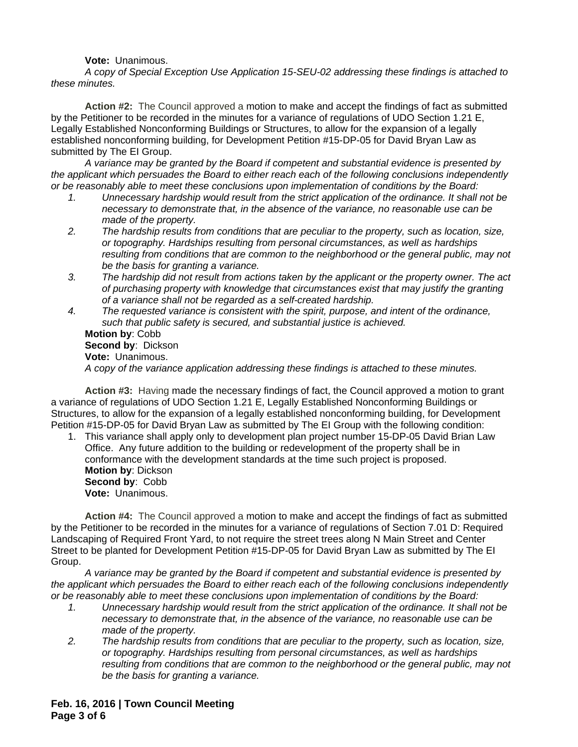### **Vote:** Unanimous.

*A copy of Special Exception Use Application 15-SEU-02 addressing these findings is attached to these minutes.*

**Action #2:** The Council approved a motion to make and accept the findings of fact as submitted by the Petitioner to be recorded in the minutes for a variance of regulations of UDO Section 1.21 E, Legally Established Nonconforming Buildings or Structures, to allow for the expansion of a legally established nonconforming building, for Development Petition #15-DP-05 for David Bryan Law as submitted by The EI Group.

*A variance may be granted by the Board if competent and substantial evidence is presented by the applicant which persuades the Board to either reach each of the following conclusions independently or be reasonably able to meet these conclusions upon implementation of conditions by the Board:*

- *1. Unnecessary hardship would result from the strict application of the ordinance. It shall not be necessary to demonstrate that, in the absence of the variance, no reasonable use can be made of the property.*
- *2. The hardship results from conditions that are peculiar to the property, such as location, size, or topography. Hardships resulting from personal circumstances, as well as hardships resulting from conditions that are common to the neighborhood or the general public, may not be the basis for granting a variance.*
- *3. The hardship did not result from actions taken by the applicant or the property owner. The act of purchasing property with knowledge that circumstances exist that may justify the granting of a variance shall not be regarded as a self-created hardship.*

*4. The requested variance is consistent with the spirit, purpose, and intent of the ordinance, such that public safety is secured, and substantial justice is achieved.* **Motion by**: Cobb **Second by**: Dickson **Vote:** Unanimous.

*A copy of the variance application addressing these findings is attached to these minutes.*

**Action #3:** Having made the necessary findings of fact, the Council approved a motion to grant a variance of regulations of UDO Section 1.21 E, Legally Established Nonconforming Buildings or Structures, to allow for the expansion of a legally established nonconforming building, for Development Petition #15-DP-05 for David Bryan Law as submitted by The EI Group with the following condition:

1. This variance shall apply only to development plan project number 15-DP-05 David Brian Law Office. Any future addition to the building or redevelopment of the property shall be in conformance with the development standards at the time such project is proposed. **Motion by**: Dickson **Second by**: Cobb **Vote:** Unanimous.

**Action #4:** The Council approved a motion to make and accept the findings of fact as submitted by the Petitioner to be recorded in the minutes for a variance of regulations of Section 7.01 D: Required Landscaping of Required Front Yard, to not require the street trees along N Main Street and Center Street to be planted for Development Petition #15-DP-05 for David Bryan Law as submitted by The EI Group.

*A variance may be granted by the Board if competent and substantial evidence is presented by the applicant which persuades the Board to either reach each of the following conclusions independently or be reasonably able to meet these conclusions upon implementation of conditions by the Board:*

- *1. Unnecessary hardship would result from the strict application of the ordinance. It shall not be necessary to demonstrate that, in the absence of the variance, no reasonable use can be made of the property.*
- *2. The hardship results from conditions that are peculiar to the property, such as location, size, or topography. Hardships resulting from personal circumstances, as well as hardships resulting from conditions that are common to the neighborhood or the general public, may not be the basis for granting a variance.*

**Feb. 16, 2016 | Town Council Meeting Page 3 of 6**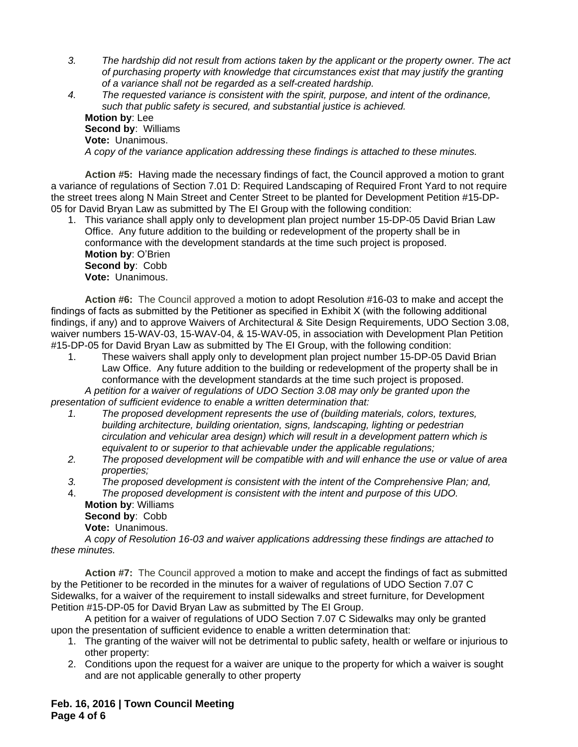- *3. The hardship did not result from actions taken by the applicant or the property owner. The act of purchasing property with knowledge that circumstances exist that may justify the granting of a variance shall not be regarded as a self-created hardship.*
- *4. The requested variance is consistent with the spirit, purpose, and intent of the ordinance, such that public safety is secured, and substantial justice is achieved.* **Motion by**: Lee **Second by**: Williams **Vote:** Unanimous. *A copy of the variance application addressing these findings is attached to these minutes.*

**Action #5:** Having made the necessary findings of fact, the Council approved a motion to grant a variance of regulations of Section 7.01 D: Required Landscaping of Required Front Yard to not require the street trees along N Main Street and Center Street to be planted for Development Petition #15-DP-05 for David Bryan Law as submitted by The EI Group with the following condition:

1. This variance shall apply only to development plan project number 15-DP-05 David Brian Law Office. Any future addition to the building or redevelopment of the property shall be in conformance with the development standards at the time such project is proposed. **Motion by**: O'Brien **Second by**: Cobb **Vote:** Unanimous.

**Action #6:** The Council approved a motion to adopt Resolution #16-03 to make and accept the findings of facts as submitted by the Petitioner as specified in Exhibit X (with the following additional findings, if any) and to approve Waivers of Architectural & Site Design Requirements, UDO Section 3.08, waiver numbers 15-WAV-03, 15-WAV-04, & 15-WAV-05, in association with Development Plan Petition #15-DP-05 for David Bryan Law as submitted by The EI Group, with the following condition:

1. These waivers shall apply only to development plan project number 15-DP-05 David Brian Law Office. Any future addition to the building or redevelopment of the property shall be in conformance with the development standards at the time such project is proposed.

*A petition for a waiver of regulations of UDO Section 3.08 may only be granted upon the presentation of sufficient evidence to enable a written determination that:*

- *1. The proposed development represents the use of (building materials, colors, textures, building architecture, building orientation, signs, landscaping, lighting or pedestrian circulation and vehicular area design) which will result in a development pattern which is equivalent to or superior to that achievable under the applicable regulations;*
- *2. The proposed development will be compatible with and will enhance the use or value of area properties;*
- *3. The proposed development is consistent with the intent of the Comprehensive Plan; and,*
- 4. *The proposed development is consistent with the intent and purpose of this UDO.* **Motion by**: Williams

**Second by**: Cobb **Vote:** Unanimous.

*A copy of Resolution 16-03 and waiver applications addressing these findings are attached to these minutes.*

**Action #7:** The Council approved a motion to make and accept the findings of fact as submitted by the Petitioner to be recorded in the minutes for a waiver of regulations of UDO Section 7.07 C Sidewalks, for a waiver of the requirement to install sidewalks and street furniture, for Development Petition #15-DP-05 for David Bryan Law as submitted by The EI Group.

A petition for a waiver of regulations of UDO Section 7.07 C Sidewalks may only be granted upon the presentation of sufficient evidence to enable a written determination that:

- 1. The granting of the waiver will not be detrimental to public safety, health or welfare or injurious to other property:
- 2. Conditions upon the request for a waiver are unique to the property for which a waiver is sought and are not applicable generally to other property

**Feb. 16, 2016 | Town Council Meeting Page 4 of 6**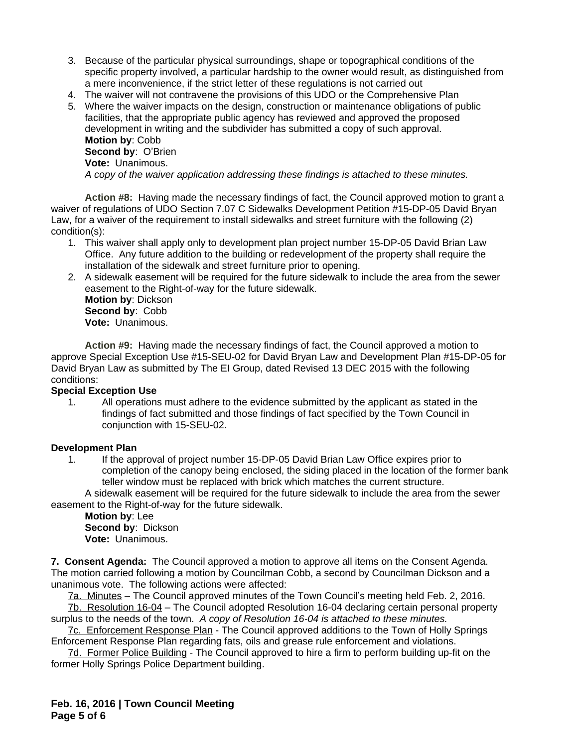- 3. Because of the particular physical surroundings, shape or topographical conditions of the specific property involved, a particular hardship to the owner would result, as distinguished from a mere inconvenience, if the strict letter of these regulations is not carried out
- 4. The waiver will not contravene the provisions of this UDO or the Comprehensive Plan
- 5. Where the waiver impacts on the design, construction or maintenance obligations of public facilities, that the appropriate public agency has reviewed and approved the proposed development in writing and the subdivider has submitted a copy of such approval. **Motion by**: Cobb **Second by**: O'Brien **Vote:** Unanimous. *A copy of the waiver application addressing these findings is attached to these minutes.*

**Action #8:** Having made the necessary findings of fact, the Council approved motion to grant a waiver of regulations of UDO Section 7.07 C Sidewalks Development Petition #15-DP-05 David Bryan Law, for a waiver of the requirement to install sidewalks and street furniture with the following (2) condition(s):

- 1. This waiver shall apply only to development plan project number 15-DP-05 David Brian Law Office. Any future addition to the building or redevelopment of the property shall require the installation of the sidewalk and street furniture prior to opening.
- 2. A sidewalk easement will be required for the future sidewalk to include the area from the sewer easement to the Right-of-way for the future sidewalk.

**Motion by**: Dickson **Second by**: Cobb **Vote:** Unanimous.

**Action #9:** Having made the necessary findings of fact, the Council approved a motion to approve Special Exception Use #15-SEU-02 for David Bryan Law and Development Plan #15-DP-05 for David Bryan Law as submitted by The EI Group, dated Revised 13 DEC 2015 with the following conditions:

# **Special Exception Use**

1. All operations must adhere to the evidence submitted by the applicant as stated in the findings of fact submitted and those findings of fact specified by the Town Council in conjunction with 15-SEU-02.

### **Development Plan**

1. If the approval of project number 15-DP-05 David Brian Law Office expires prior to completion of the canopy being enclosed, the siding placed in the location of the former bank teller window must be replaced with brick which matches the current structure.

A sidewalk easement will be required for the future sidewalk to include the area from the sewer easement to the Right-of-way for the future sidewalk.

**Motion by**: Lee **Second by**: Dickson **Vote:** Unanimous.

**7. Consent Agenda:** The Council approved a motion to approve all items on the Consent Agenda. The motion carried following a motion by Councilman Cobb, a second by Councilman Dickson and a unanimous vote. The following actions were affected:

7a. Minutes – The Council approved minutes of the Town Council's meeting held Feb. 2, 2016.

7b. Resolution 16-04 – The Council adopted Resolution 16-04 declaring certain personal property surplus to the needs of the town. *A copy of Resolution 16-04 is attached to these minutes.*

7c. Enforcement Response Plan - The Council approved additions to the Town of Holly Springs Enforcement Response Plan regarding fats, oils and grease rule enforcement and violations.

7d. Former Police Building - The Council approved to hire a firm to perform building up-fit on the former Holly Springs Police Department building.

**Feb. 16, 2016 | Town Council Meeting Page 5 of 6**